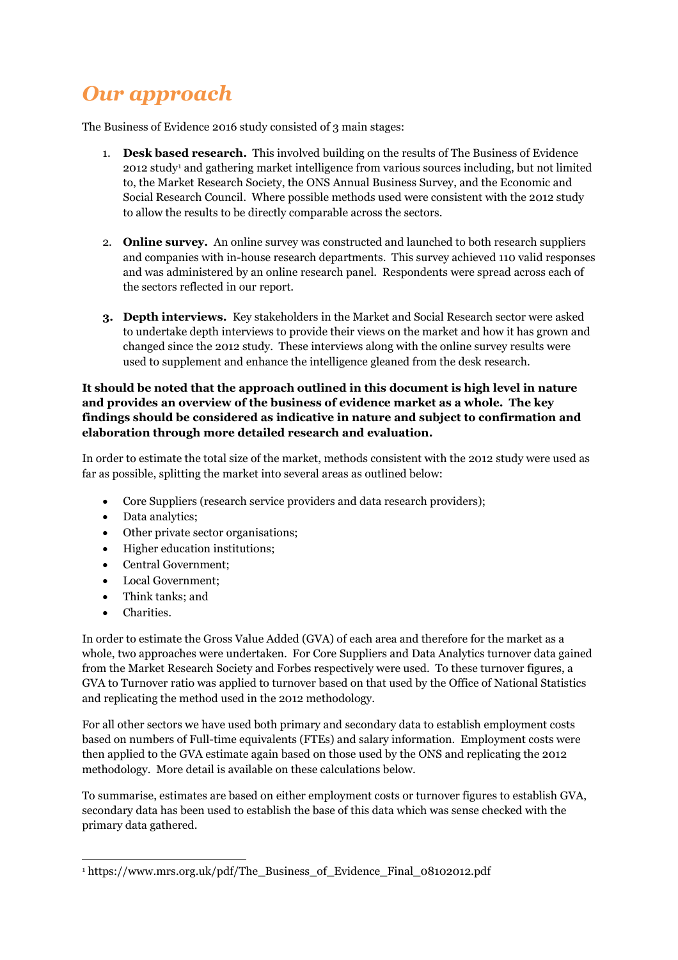## *Our approach*

The Business of Evidence 2016 study consisted of 3 main stages:

- 1. **Desk based research.** This involved building on the results of The Business of Evidence 2012 study<sup>1</sup> and gathering market intelligence from various sources including, but not limited to, the Market Research Society, the ONS Annual Business Survey, and the Economic and Social Research Council. Where possible methods used were consistent with the 2012 study to allow the results to be directly comparable across the sectors.
- 2. **Online survey.** An online survey was constructed and launched to both research suppliers and companies with in-house research departments. This survey achieved 110 valid responses and was administered by an online research panel. Respondents were spread across each of the sectors reflected in our report.
- **3. Depth interviews.** Key stakeholders in the Market and Social Research sector were asked to undertake depth interviews to provide their views on the market and how it has grown and changed since the 2012 study. These interviews along with the online survey results were used to supplement and enhance the intelligence gleaned from the desk research.

### **It should be noted that the approach outlined in this document is high level in nature and provides an overview of the business of evidence market as a whole. The key findings should be considered as indicative in nature and subject to confirmation and elaboration through more detailed research and evaluation.**

In order to estimate the total size of the market, methods consistent with the 2012 study were used as far as possible, splitting the market into several areas as outlined below:

- Core Suppliers (research service providers and data research providers);
- Data analytics;
- Other private sector organisations;
- Higher education institutions;
- Central Government;
- Local Government;
- Think tanks: and
- Charities.

In order to estimate the Gross Value Added (GVA) of each area and therefore for the market as a whole, two approaches were undertaken. For Core Suppliers and Data Analytics turnover data gained from the Market Research Society and Forbes respectively were used. To these turnover figures, a GVA to Turnover ratio was applied to turnover based on that used by the Office of National Statistics and replicating the method used in the 2012 methodology.

For all other sectors we have used both primary and secondary data to establish employment costs based on numbers of Full-time equivalents (FTEs) and salary information. Employment costs were then applied to the GVA estimate again based on those used by the ONS and replicating the 2012 methodology. More detail is available on these calculations below.

To summarise, estimates are based on either employment costs or turnover figures to establish GVA, secondary data has been used to establish the base of this data which was sense checked with the primary data gathered.

<sup>1</sup> https://www.mrs.org.uk/pdf/The\_Business\_of\_Evidence\_Final\_08102012.pdf